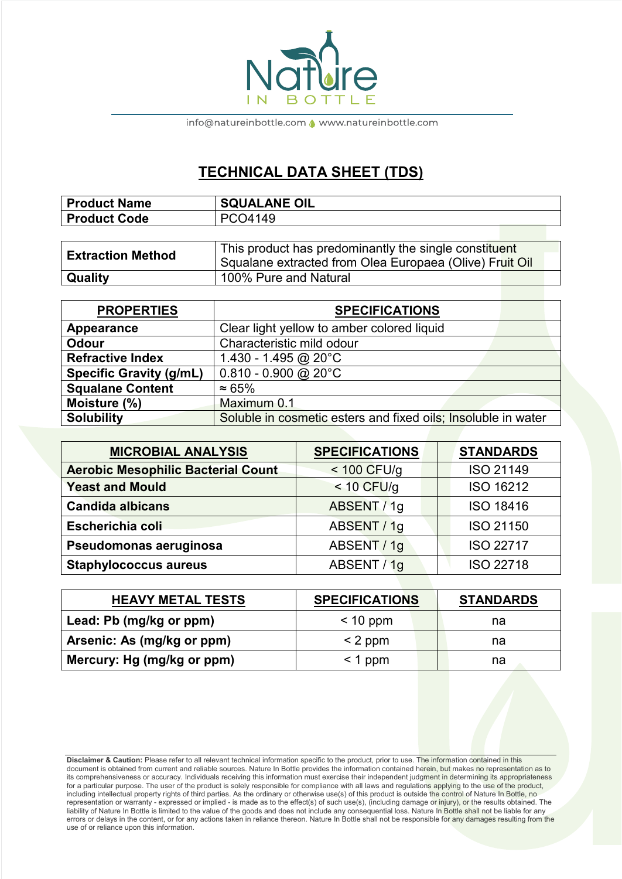

info@natureinbottle.com <a>
</a>
www.natureinbottle.com</a>
m

## **TECHNICAL DATA SHEET (TDS)**

| <b>Product Name</b> | SQUALANE OIL |
|---------------------|--------------|
| <b>Product Code</b> | PCO4149      |

| <b>Extraction Method</b> | This product has predominantly the single constituent<br>Squalane extracted from Olea Europaea (Olive) Fruit Oil |
|--------------------------|------------------------------------------------------------------------------------------------------------------|
| Quality                  | 100% Pure and Natural                                                                                            |

| <b>PROPERTIES</b>              | <b>SPECIFICATIONS</b>                                         |
|--------------------------------|---------------------------------------------------------------|
| Appearance                     | Clear light yellow to amber colored liquid                    |
| <b>Odour</b>                   | Characteristic mild odour                                     |
| <b>Refractive Index</b>        | 1.430 - 1.495 @ 20 $^{\circ}$ C                               |
| <b>Specific Gravity (g/mL)</b> | $0.810 - 0.900$ @ 20°C                                        |
| <b>Squalane Content</b>        | $\approx 65\%$                                                |
| Moisture (%)                   | Maximum 0.1                                                   |
| <b>Solubility</b>              | Soluble in cosmetic esters and fixed oils; Insoluble in water |

| <b>MICROBIAL ANALYSIS</b>                 | <b>SPECIFICATIONS</b> | <b>STANDARDS</b> |
|-------------------------------------------|-----------------------|------------------|
| <b>Aerobic Mesophilic Bacterial Count</b> | $<$ 100 CFU/g         | <b>ISO 21149</b> |
| <b>Yeast and Mould</b>                    | $<$ 10 CFU/g          | <b>ISO 16212</b> |
| <b>Candida albicans</b>                   | ABSENT / 1g           | <b>ISO 18416</b> |
| Escherichia coli                          | ABSENT / 1g           | <b>ISO 21150</b> |
| Pseudomonas aeruginosa                    | ABSENT / 1g           | <b>ISO 22717</b> |
| <b>Staphylococcus aureus</b>              | ABSENT / 1g           | <b>ISO 22718</b> |

| <b>HEAVY METAL TESTS</b>   | <b>SPECIFICATIONS</b> | <b>STANDARDS</b> |
|----------------------------|-----------------------|------------------|
| Lead: Pb (mg/kg or ppm)    | $< 10$ ppm            | na               |
| Arsenic: As (mg/kg or ppm) | $<$ 2 ppm             | na               |
| Mercury: Hg (mg/kg or ppm) | $\leq 1$ ppm          | na               |

**Disclaimer & Caution:** Please refer to all relevant technical information specific to the product, prior to use. The information contained in this document is obtained from current and reliable sources. Nature In Bottle provides the information contained herein, but makes no representation as to its comprehensiveness or accuracy. Individuals receiving this information must exercise their independent judgment in determining its appropriateness for a particular purpose. The user of the product is solely responsible for compliance with all laws and regulations applying to the use of the product, including intellectual property rights of third parties. As the ordinary or otherwise use(s) of this product is outside the control of Nature In Bottle, no representation or warranty - expressed or implied - is made as to the effect(s) of such use(s), (including damage or injury), or the results obtained. The liability of Nature In Bottle is limited to the value of the goods and does not include any consequential loss. Nature In Bottle shall not be liable for any errors or delays in the content, or for any actions taken in reliance thereon. Nature In Bottle shall not be responsible for any damages resulting from the use of or reliance upon this information.